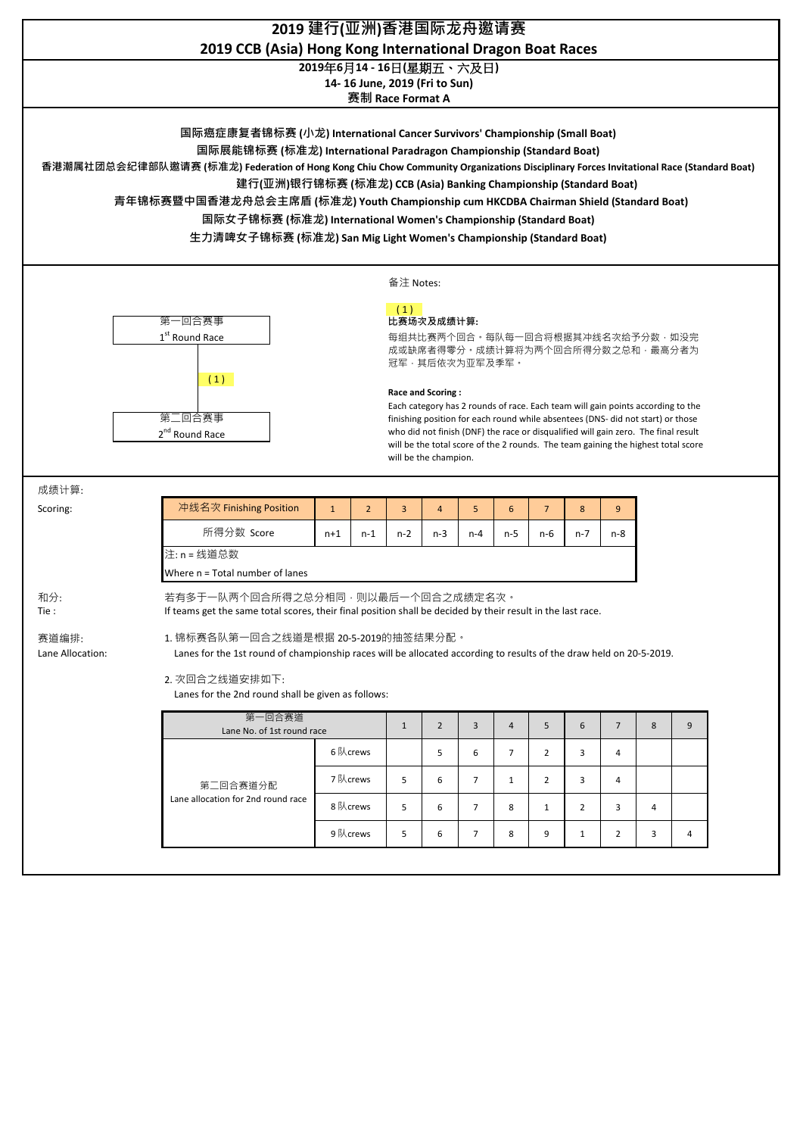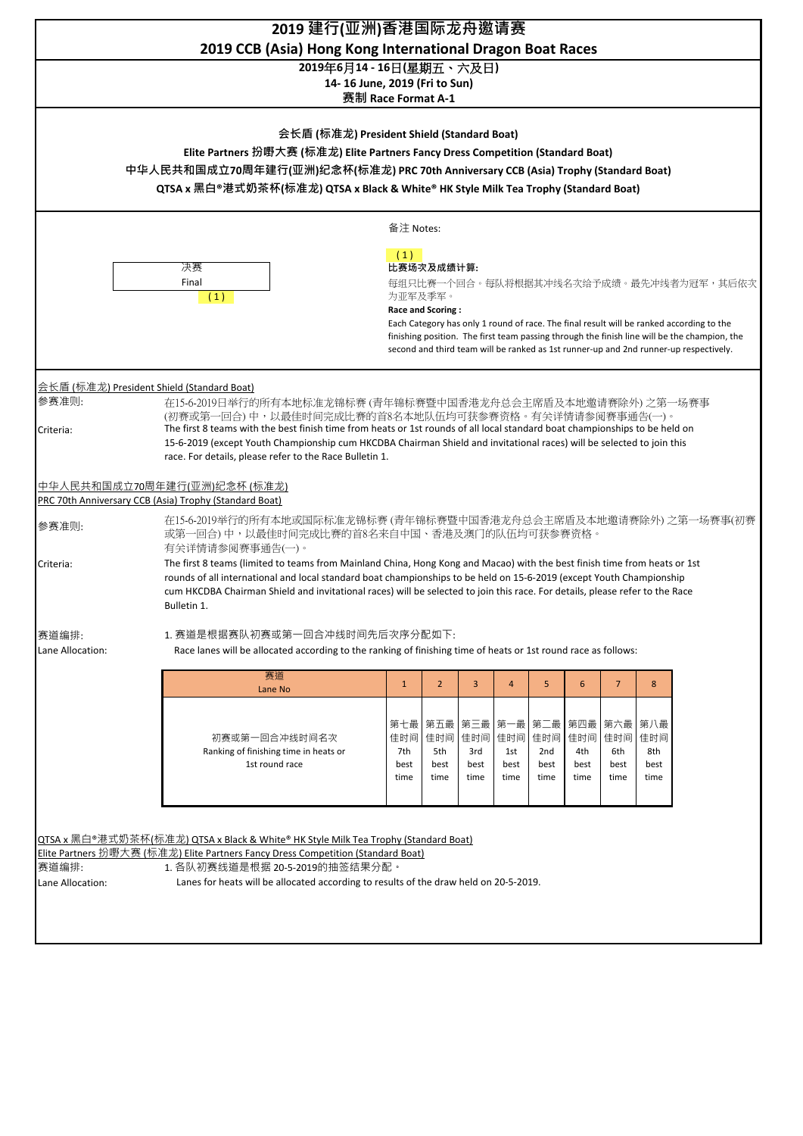| 2019 建行(亚洲)香港国际龙舟邀请赛<br>2019 CCB (Asia) Hong Kong International Dragon Boat Races                                                                                                                                                                                                                                               |                                                                                                                                                                                                                                                                                                                                                                                                  |                            |                                        |                                  |                            |                                       |                                   |                                   |                                   |  |
|---------------------------------------------------------------------------------------------------------------------------------------------------------------------------------------------------------------------------------------------------------------------------------------------------------------------------------|--------------------------------------------------------------------------------------------------------------------------------------------------------------------------------------------------------------------------------------------------------------------------------------------------------------------------------------------------------------------------------------------------|----------------------------|----------------------------------------|----------------------------------|----------------------------|---------------------------------------|-----------------------------------|-----------------------------------|-----------------------------------|--|
| 2019年6月14 - 16日(星期五、六及日)<br>14-16 June, 2019 (Fri to Sun)<br>赛制 Race Format A-1                                                                                                                                                                                                                                                 |                                                                                                                                                                                                                                                                                                                                                                                                  |                            |                                        |                                  |                            |                                       |                                   |                                   |                                   |  |
| 会长盾 (标准龙) President Shield (Standard Boat)<br>Elite Partners 扮嘢大赛 (标准龙) Elite Partners Fancy Dress Competition (Standard Boat)<br>中华人民共和国成立70周年建行(亚洲)纪念杯(标准龙) PRC 70th Anniversary CCB (Asia) Trophy (Standard Boat)<br>QTSA x 黑白®港式奶茶杯(标准龙) QTSA x Black & White® HK Style Milk Tea Trophy (Standard Boat)                     |                                                                                                                                                                                                                                                                                                                                                                                                  |                            |                                        |                                  |                            |                                       |                                   |                                   |                                   |  |
| 备注 Notes:                                                                                                                                                                                                                                                                                                                       |                                                                                                                                                                                                                                                                                                                                                                                                  |                            |                                        |                                  |                            |                                       |                                   |                                   |                                   |  |
|                                                                                                                                                                                                                                                                                                                                 | (1)<br>比赛场次及成绩计算:<br>每组只比赛一个回合。每队将根据其冲线名次给予成绩。最先冲线者为冠军,其后依次<br>为亚军及季军。<br>Race and Scoring:<br>Each Category has only 1 round of race. The final result will be ranked according to the<br>finishing position. The first team passing through the finish line will be the champion, the<br>second and third team will be ranked as 1st runner-up and 2nd runner-up respectively.                 |                            |                                        |                                  |                            |                                       |                                   |                                   |                                   |  |
| 会长盾(标准龙) President Shield (Standard Boat)<br>参赛准则:                                                                                                                                                                                                                                                                              | 在15-6-2019日举行的所有本地标准龙锦标赛 (青年锦标赛暨中国香港龙舟总会主席盾及本地邀请赛除外) 之第一场赛事<br>(初赛或第一回合)中,以最佳时间完成比赛的首8名本地队伍均可获参赛资格。有关详情请参阅赛事通告(一)。                                                                                                                                                                                                                                                                               |                            |                                        |                                  |                            |                                       |                                   |                                   |                                   |  |
| The first 8 teams with the best finish time from heats or 1st rounds of all local standard boat championships to be held on<br>Criteria:<br>15-6-2019 (except Youth Championship cum HKCDBA Chairman Shield and invitational races) will be selected to join this<br>race. For details, please refer to the Race Bulletin 1.    |                                                                                                                                                                                                                                                                                                                                                                                                  |                            |                                        |                                  |                            |                                       |                                   |                                   |                                   |  |
| PRC 70th Anniversary CCB (Asia) Trophy (Standard Boat)                                                                                                                                                                                                                                                                          | 中华人民共和国成立70周年建行(亚洲)纪念杯(标准龙)                                                                                                                                                                                                                                                                                                                                                                      |                            |                                        |                                  |                            |                                       |                                   |                                   |                                   |  |
| 参赛准则:                                                                                                                                                                                                                                                                                                                           | 在15-6-2019举行的所有本地或国际标准龙锦标赛(青年锦标赛暨中国香港龙舟总会主席盾及本地邀请赛除外)之第一场赛事(初赛<br>或第一回合)中,以最佳时间完成比赛的首8名来自中国、香港及澳门的队伍均可获参赛资格。<br>有关详情请参阅赛事通告(一)。                                                                                                                                                                                                                                                                  |                            |                                        |                                  |                            |                                       |                                   |                                   |                                   |  |
| Criteria:                                                                                                                                                                                                                                                                                                                       | The first 8 teams (limited to teams from Mainland China, Hong Kong and Macao) with the best finish time from heats or 1st<br>rounds of all international and local standard boat championships to be held on 15-6-2019 (except Youth Championship<br>cum HKCDBA Chairman Shield and invitational races) will be selected to join this race. For details, please refer to the Race<br>Bulletin 1. |                            |                                        |                                  |                            |                                       |                                   |                                   |                                   |  |
| 赛道编排:<br>Lane Allocation:                                                                                                                                                                                                                                                                                                       | 1. 赛道是根据赛队初赛或第一回合冲线时间先后次序分配如下:<br>Race lanes will be allocated according to the ranking of finishing time of heats or 1st round race as follows:                                                                                                                                                                                                                                                 |                            |                                        |                                  |                            |                                       |                                   |                                   |                                   |  |
|                                                                                                                                                                                                                                                                                                                                 | 赛道<br>Lane No                                                                                                                                                                                                                                                                                                                                                                                    | $\mathbf{1}$               | $2^{\circ}$                            | 3                                | $\overline{4}$             | 5                                     | 6                                 | 7 <sup>2</sup>                    | 8                                 |  |
|                                                                                                                                                                                                                                                                                                                                 | 初赛或第一回合冲线时间名次<br>Ranking of finishing time in heats or<br>1st round race                                                                                                                                                                                                                                                                                                                         | 佳时间<br>7th<br>best<br>time | 第七最   第五最   第三最<br>5th<br>best<br>time | 佳时间   佳时间<br>3rd<br>best<br>time | 佳时间<br>1st<br>best<br>time | 第一最 第二最<br>佳时间<br>2nd<br>best<br>time | 第四最<br>佳时间<br>4th<br>best<br>time | 第六最<br>佳时间<br>6th<br>best<br>time | 第八最<br>佳时间<br>8th<br>best<br>time |  |
| QTSA x 黑白®港式奶茶杯(标准龙) QTSA x Black & White® HK Style Milk Tea Trophy (Standard Boat)<br>Elite Partners 扮嘢大赛 (标准龙) Elite Partners Fancy Dress Competition (Standard Boat)<br>赛道编排:<br>1. 各队初赛线道是根据 20-5-2019的抽签结果分配。<br>Lanes for heats will be allocated according to results of the draw held on 20-5-2019.<br>Lane Allocation: |                                                                                                                                                                                                                                                                                                                                                                                                  |                            |                                        |                                  |                            |                                       |                                   |                                   |                                   |  |
|                                                                                                                                                                                                                                                                                                                                 |                                                                                                                                                                                                                                                                                                                                                                                                  |                            |                                        |                                  |                            |                                       |                                   |                                   |                                   |  |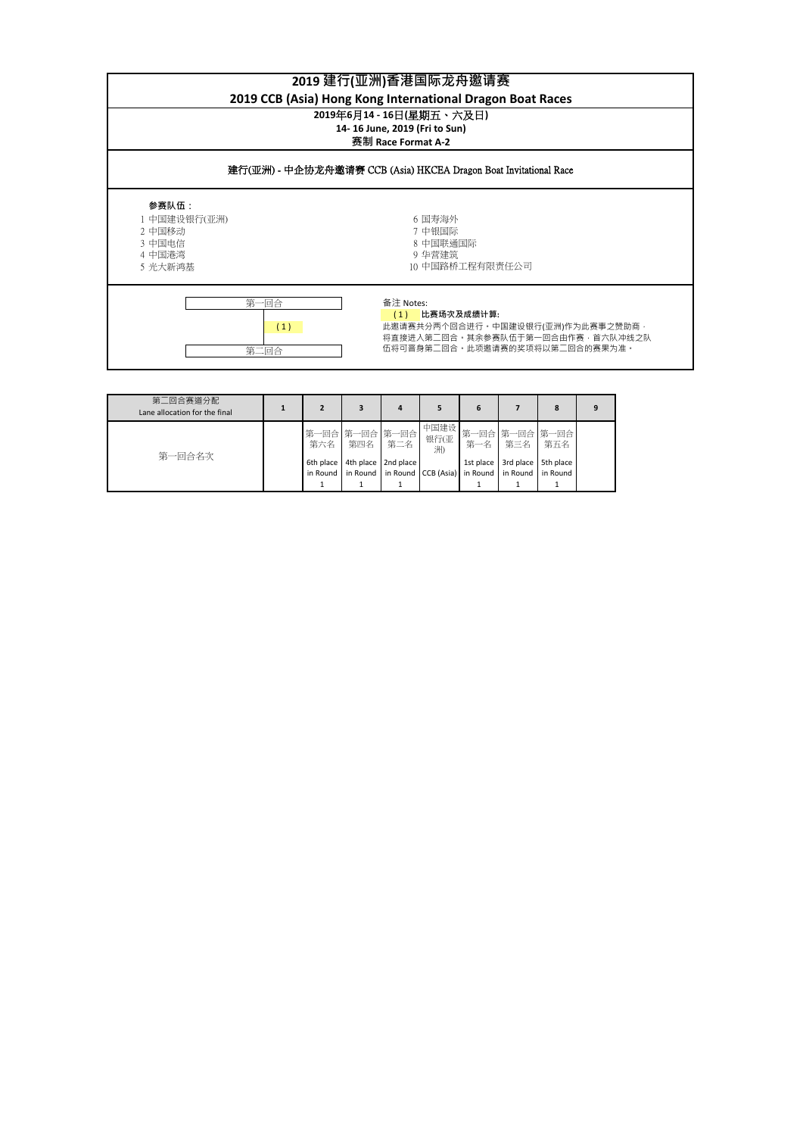| 2019 建行(亚洲)香港国际龙舟邀请赛<br>2019 CCB (Asia) Hong Kong International Dragon Boat Races |                                                                                                                                                   |  |  |  |  |  |  |
|-----------------------------------------------------------------------------------|---------------------------------------------------------------------------------------------------------------------------------------------------|--|--|--|--|--|--|
| 2019年6月14 - 16日(星期五、六及日)<br>14-16 June, 2019 (Fri to Sun)<br>赛制 Race Format A-2   |                                                                                                                                                   |  |  |  |  |  |  |
| 建行(亚洲) - 中企协龙舟邀请赛 CCB (Asia) HKCEA Dragon Boat Invitational Race                  |                                                                                                                                                   |  |  |  |  |  |  |
| 参赛队伍:<br>1 中国建设银行(亚洲)<br>2 中国移动<br>3 中国电信<br>4 中国港湾<br>5 光大新鸿基                    | 6 国寿海外<br>7 中银国际<br>8 中国联通国际<br>9 华营建筑<br>10 中国路桥工程有限责任公司                                                                                         |  |  |  |  |  |  |
| 第一回合<br>第二回合                                                                      | 备注 Notes:<br>比赛场次及成绩计算:<br>(1)<br>此邀请赛共分两个回合进行。中国建设银行(亚洲)作为此赛事之赞助商 ·<br>(1)<br>将直接进入第二回合。其余参赛队伍干第一回合由作赛.首六队冲线之队<br>伍将可晋身第二回合。此项邀请赛的奖项将以第二回合的赛果为准。 |  |  |  |  |  |  |

| 第二回合赛道分配<br>Lane allocation for the final |  |           |                               |                                                                            | 6         |           | 8         |  |
|-------------------------------------------|--|-----------|-------------------------------|----------------------------------------------------------------------------|-----------|-----------|-----------|--|
| 第一回合名次                                    |  | 第六名   第四名 | 第一回合 第一回合 第一回合<br>第二名         | 银行(亚<br>洲)                                                                 |           | 第一名 第三名   | 第五名       |  |
|                                           |  |           | 6th place 4th place 2nd place | in Round   in Round   in Round CCB (Asia)   in Round   in Round   in Round | 1st place | 3rd place | 5th place |  |
|                                           |  |           |                               |                                                                            |           |           |           |  |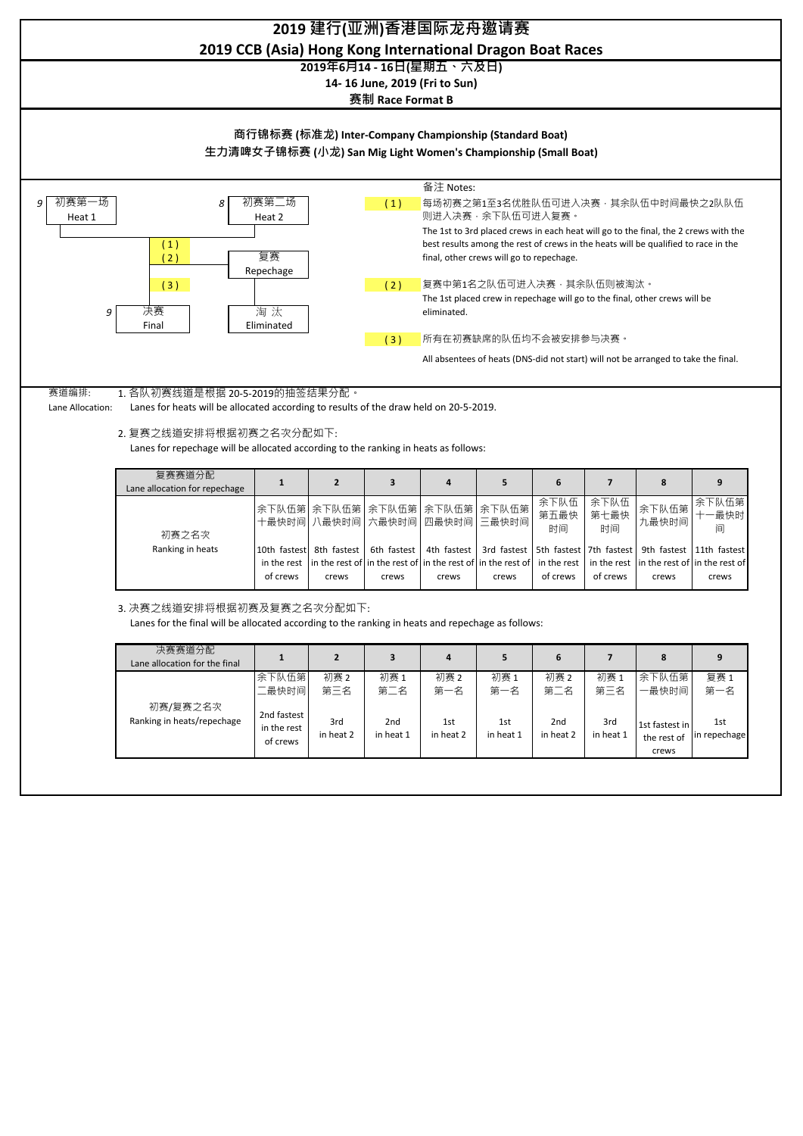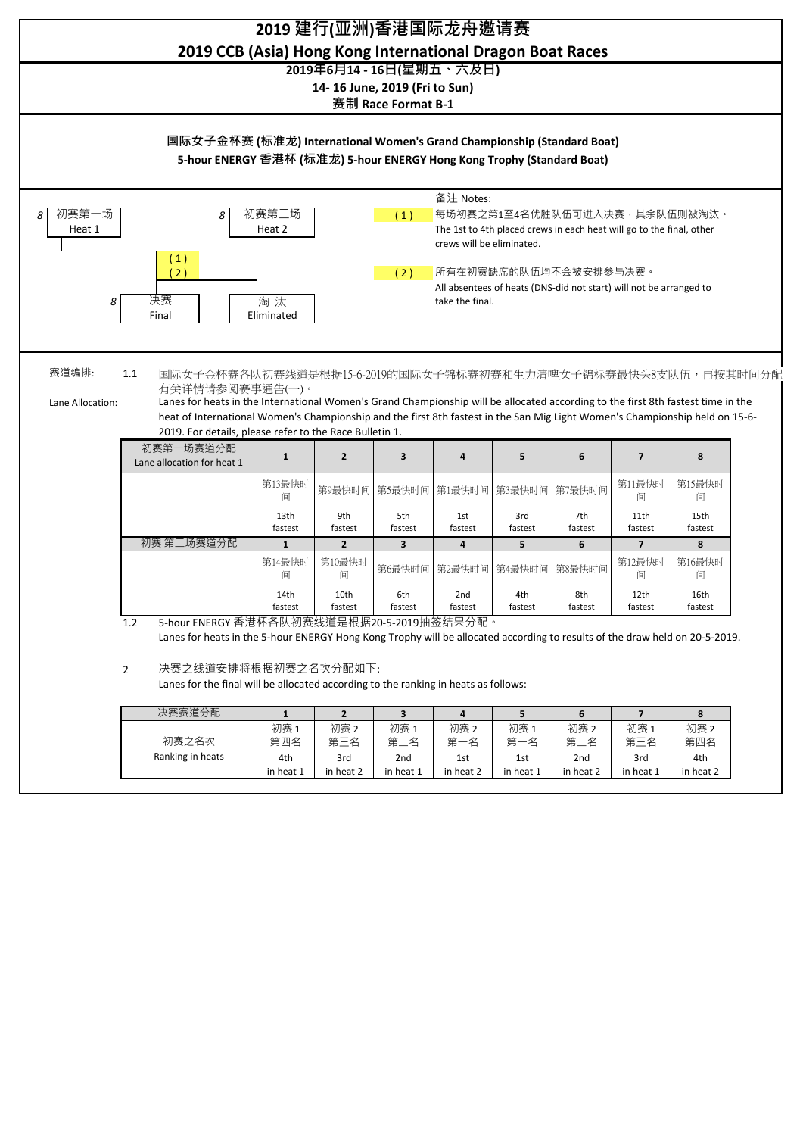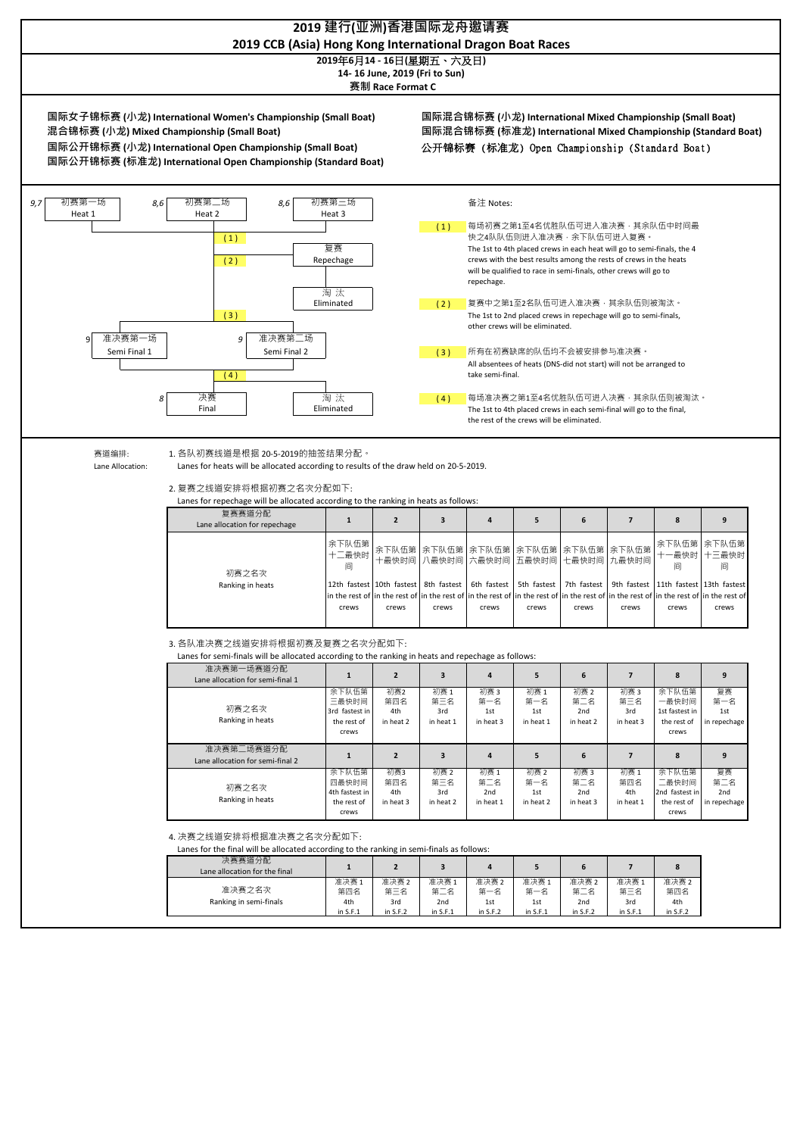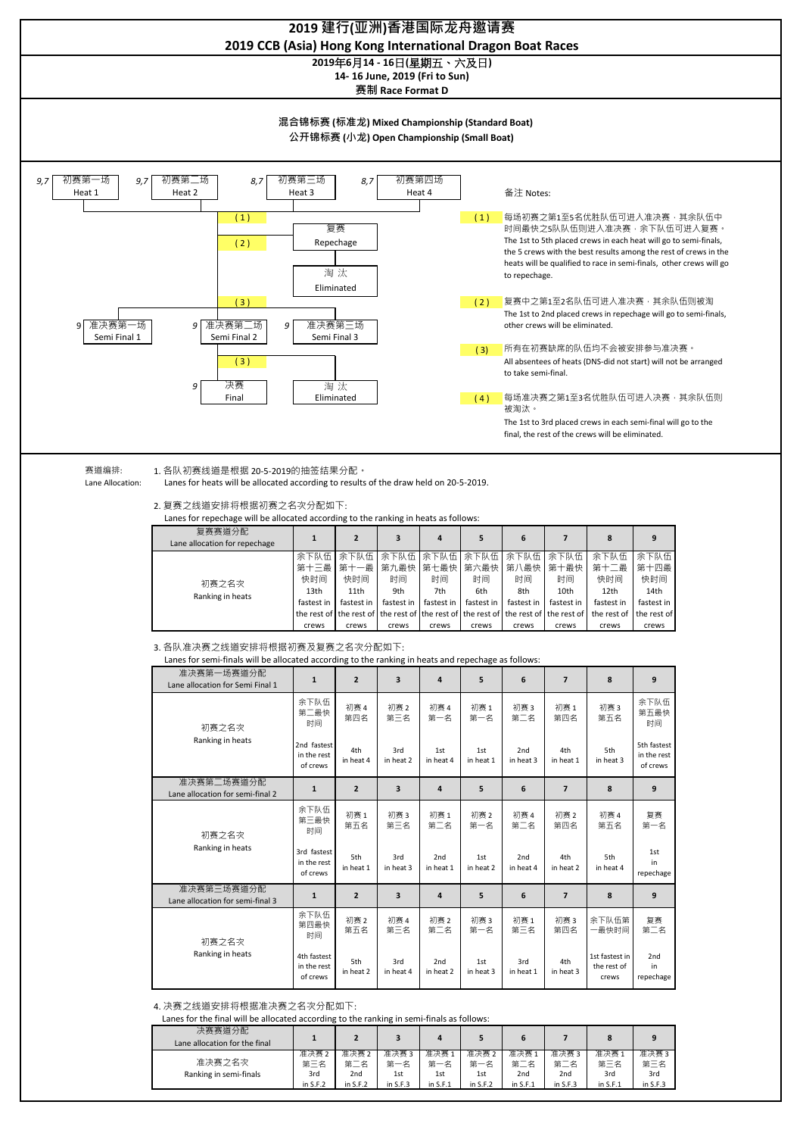

准决赛 2 第三名 准决赛 2 第二名 准决赛 3<br>第一名 第一名 准决赛 1<br>第一名 第一名 准决赛 2<br>第一名 第一名 3rd 2nd 1st 1st 1st 准决赛之名次 Ranking in semi-finals

第二名

2nd in S.F.1

第二名

2nd in S.F.3

第三名

3rd in S.F.1 第三名

3rd  $\zeta$ 

in S.F.2 in S.F.2 in S.F.3

in S.F.1

in S.F.2